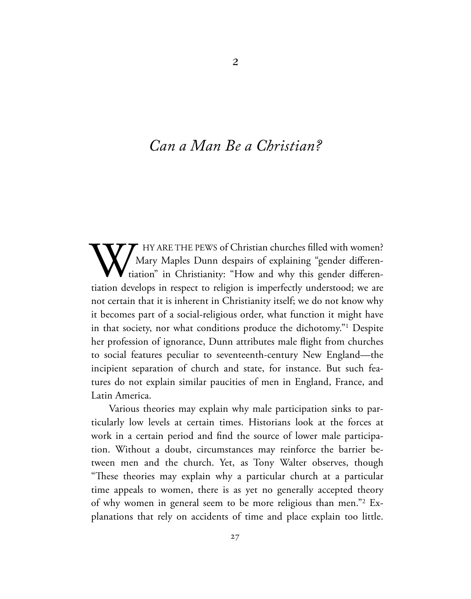# *Can a Man Be a Christian?*

2

HY ARE THE PEWS of Christian churches filled with women? Mary Maples Dunn despairs of explaining "gender differentiation" in Christianity: "How and why this gender differen-WW HY ARE THE PEWS of Christian churches filled with women?<br>
Mary Maples Dunn despairs of explaining "gender differentiation" in Christianity: "How and why this gender differentiation develops in respect to religion is imp not certain that it is inherent in Christianity itself; we do not know why it becomes part of a social-religious order, what function it might have in that society, nor what conditions produce the dichotomy."1 Despite her profession of ignorance, Dunn attributes male flight from churches to social features peculiar to seventeenth-century New England—the incipient separation of church and state, for instance. But such features do not explain similar paucities of men in England, France, and Latin America.

Various theories may explain why male participation sinks to particularly low levels at certain times. Historians look at the forces at work in a certain period and find the source of lower male participation. Without a doubt, circumstances may reinforce the barrier between men and the church. Yet, as Tony Walter observes, though "These theories may explain why a particular church at a particular time appeals to women, there is as yet no generally accepted theory of why women in general seem to be more religious than men."2 Explanations that rely on accidents of time and place explain too little.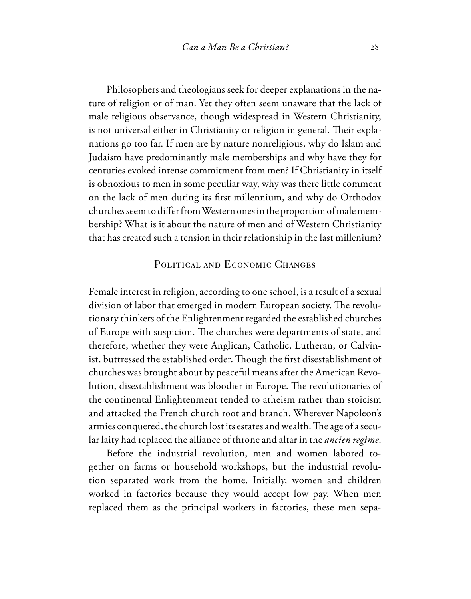Philosophers and theologians seek for deeper explanations in the nature of religion or of man. Yet they often seem unaware that the lack of male religious observance, though widespread in Western Christianity, is not universal either in Christianity or religion in general. Their explanations go too far. If men are by nature nonreligious, why do Islam and Judaism have predominantly male memberships and why have they for centuries evoked intense commitment from men? If Christianity in itself is obnoxious to men in some peculiar way, why was there little comment on the lack of men during its first millennium, and why do Orthodox churches seem to differ from Western ones in the proportion of male membership? What is it about the nature of men and of Western Christianity that has created such a tension in their relationship in the last millenium?

## POLITICAL AND ECONOMIC CHANGES

Female interest in religion, according to one school, is a result of a sexual division of labor that emerged in modern European society. The revolutionary thinkers of the Enlightenment regarded the established churches of Europe with suspicion. The churches were departments of state, and therefore, whether they were Anglican, Catholic, Lutheran, or Calvinist, buttressed the established order. Though the first disestablishment of churches was brought about by peaceful means after the American Revolution, disestablishment was bloodier in Europe. The revolutionaries of the continental Enlightenment tended to atheism rather than stoicism and attacked the French church root and branch. Wherever Napoleon's armies conquered, the church lost its estates and wealth. The age of a secular laity had replaced the alliance of throne and altar in the *ancien regime*.

Before the industrial revolution, men and women labored together on farms or household workshops, but the industrial revolution separated work from the home. Initially, women and children worked in factories because they would accept low pay. When men replaced them as the principal workers in factories, these men sepa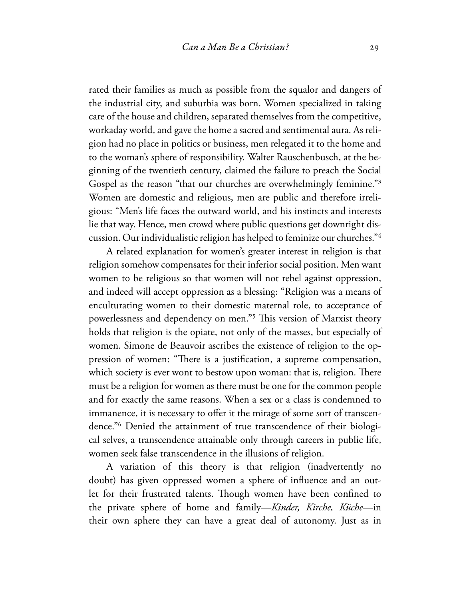rated their families as much as possible from the squalor and dangers of the industrial city, and suburbia was born. Women specialized in taking care of the house and children, separated themselves from the competitive, workaday world, and gave the home a sacred and sentimental aura. As religion had no place in politics or business, men relegated it to the home and to the woman's sphere of responsibility. Walter Rauschenbusch, at the beginning of the twentieth century, claimed the failure to preach the Social Gospel as the reason "that our churches are overwhelmingly feminine."<sup>3</sup> Women are domestic and religious, men are public and therefore irreligious: "Men's life faces the outward world, and his instincts and interests lie that way. Hence, men crowd where public questions get downright discussion. Our individualistic religion has helped to feminize our churches."4

A related explanation for women's greater interest in religion is that religion somehow compensates for their inferior social position. Men want women to be religious so that women will not rebel against oppression, and indeed will accept oppression as a blessing: "Religion was a means of enculturating women to their domestic maternal role, to acceptance of powerlessness and dependency on men."5 This version of Marxist theory holds that religion is the opiate, not only of the masses, but especially of women. Simone de Beauvoir ascribes the existence of religion to the oppression of women: "There is a justification, a supreme compensation, which society is ever wont to bestow upon woman: that is, religion. There must be a religion for women as there must be one for the common people and for exactly the same reasons. When a sex or a class is condemned to immanence, it is necessary to offer it the mirage of some sort of transcendence."6 Denied the attainment of true transcendence of their biological selves, a transcendence attainable only through careers in public life, women seek false transcendence in the illusions of religion.

A variation of this theory is that religion (inadvertently no doubt) has given oppressed women a sphere of influence and an outlet for their frustrated talents. Though women have been confined to the private sphere of home and family—*Kinder, Kirche, Küche*—in their own sphere they can have a great deal of autonomy. Just as in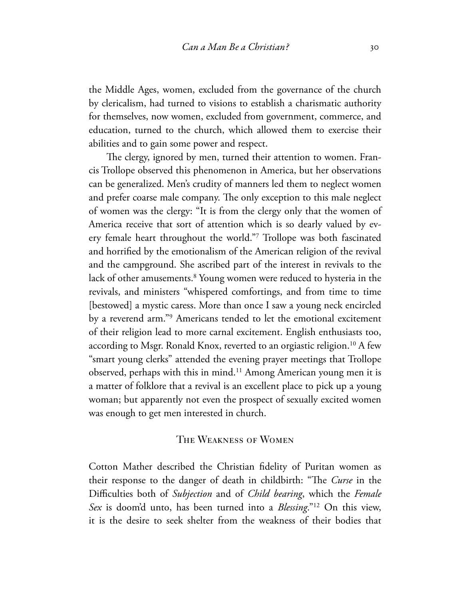the Middle Ages, women, excluded from the governance of the church by clericalism, had turned to visions to establish a charismatic authority for themselves, now women, excluded from government, commerce, and education, turned to the church, which allowed them to exercise their abilities and to gain some power and respect.

The clergy, ignored by men, turned their attention to women. Francis Trollope observed this phenomenon in America, but her observations can be generalized. Men's crudity of manners led them to neglect women and prefer coarse male company. The only exception to this male neglect of women was the clergy: "It is from the clergy only that the women of America receive that sort of attention which is so dearly valued by every female heart throughout the world."7 Trollope was both fascinated and horrified by the emotionalism of the American religion of the revival and the campground. She ascribed part of the interest in revivals to the lack of other amusements.<sup>8</sup> Young women were reduced to hysteria in the revivals, and ministers "whispered comfortings, and from time to time [bestowed] a mystic caress. More than once I saw a young neck encircled by a reverend arm."9 Americans tended to let the emotional excitement of their religion lead to more carnal excitement. English enthusiasts too, according to Msgr. Ronald Knox, reverted to an orgiastic religion.<sup>10</sup> A few "smart young clerks" attended the evening prayer meetings that Trollope observed, perhaps with this in mind.11 Among American young men it is a matter of folklore that a revival is an excellent place to pick up a young woman; but apparently not even the prospect of sexually excited women was enough to get men interested in church.

## The Weakness of Women

Cotton Mather described the Christian fidelity of Puritan women as their response to the danger of death in childbirth: "The *Curse* in the Difficulties both of *Subjection* and of *Child bearing*, which the *Female Sex* is doom'd unto, has been turned into a *Blessing*."12 On this view, it is the desire to seek shelter from the weakness of their bodies that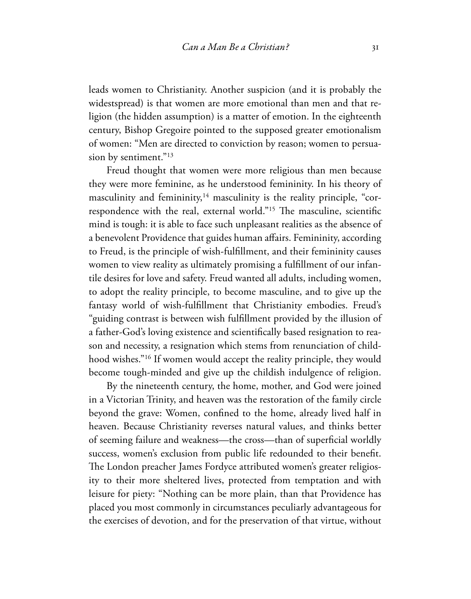leads women to Christianity. Another suspicion (and it is probably the widestspread) is that women are more emotional than men and that religion (the hidden assumption) is a matter of emotion. In the eighteenth century, Bishop Gregoire pointed to the supposed greater emotionalism of women: "Men are directed to conviction by reason; women to persuasion by sentiment."<sup>13</sup>

Freud thought that women were more religious than men because they were more feminine, as he understood femininity. In his theory of masculinity and femininity,<sup>14</sup> masculinity is the reality principle, "correspondence with the real, external world."15 The masculine, scientific mind is tough: it is able to face such unpleasant realities as the absence of a benevolent Providence that guides human affairs. Femininity, according to Freud, is the principle of wish-fulfillment, and their femininity causes women to view reality as ultimately promising a fulfillment of our infantile desires for love and safety. Freud wanted all adults, including women, to adopt the reality principle, to become masculine, and to give up the fantasy world of wish-fulfillment that Christianity embodies. Freud's "guiding contrast is between wish fulfillment provided by the illusion of a father-God's loving existence and scientifically based resignation to reason and necessity, a resignation which stems from renunciation of childhood wishes."16 If women would accept the reality principle, they would become tough-minded and give up the childish indulgence of religion.

By the nineteenth century, the home, mother, and God were joined in a Victorian Trinity, and heaven was the restoration of the family circle beyond the grave: Women, confined to the home, already lived half in heaven. Because Christianity reverses natural values, and thinks better of seeming failure and weakness—the cross—than of superficial worldly success, women's exclusion from public life redounded to their benefit. The London preacher James Fordyce attributed women's greater religiosity to their more sheltered lives, protected from temptation and with leisure for piety: "Nothing can be more plain, than that Providence has placed you most commonly in circumstances peculiarly advantageous for the exercises of devotion, and for the preservation of that virtue, without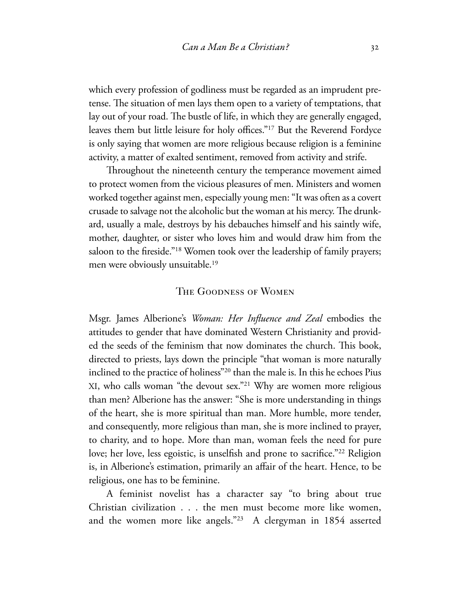which every profession of godliness must be regarded as an imprudent pretense. The situation of men lays them open to a variety of temptations, that lay out of your road. The bustle of life, in which they are generally engaged, leaves them but little leisure for holy offices."17 But the Reverend Fordyce is only saying that women are more religious because religion is a feminine activity, a matter of exalted sentiment, removed from activity and strife.

Throughout the nineteenth century the temperance movement aimed to protect women from the vicious pleasures of men. Ministers and women worked together against men, especially young men: "It was often as a covert crusade to salvage not the alcoholic but the woman at his mercy. The drunkard, usually a male, destroys by his debauches himself and his saintly wife, mother, daughter, or sister who loves him and would draw him from the saloon to the fireside."18 Women took over the leadership of family prayers; men were obviously unsuitable.19

### The Goodness of Women

Msgr. James Alberione's *Woman: Her Influence and Zeal* embodies the attitudes to gender that have dominated Western Christianity and provided the seeds of the feminism that now dominates the church. This book, directed to priests, lays down the principle "that woman is more naturally inclined to the practice of holiness"20 than the male is. In this he echoes Pius XI, who calls woman "the devout sex."21 Why are women more religious than men? Alberione has the answer: "She is more understanding in things of the heart, she is more spiritual than man. More humble, more tender, and consequently, more religious than man, she is more inclined to prayer, to charity, and to hope. More than man, woman feels the need for pure love; her love, less egoistic, is unselfish and prone to sacrifice."<sup>22</sup> Religion is, in Alberione's estimation, primarily an affair of the heart. Hence, to be religious, one has to be feminine.

A feminist novelist has a character say "to bring about true Christian civilization . . . the men must become more like women, and the women more like angels."23 A clergyman in 1854 asserted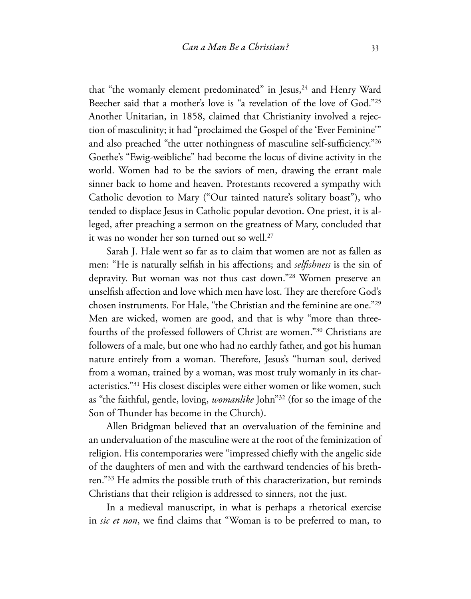that "the womanly element predominated" in Jesus,<sup>24</sup> and Henry Ward Beecher said that a mother's love is "a revelation of the love of God."25 Another Unitarian, in 1858, claimed that Christianity involved a rejection of masculinity; it had "proclaimed the Gospel of the 'Ever Feminine'" and also preached "the utter nothingness of masculine self-sufficiency."26 Goethe's "Ewig-weibliche" had become the locus of divine activity in the world. Women had to be the saviors of men, drawing the errant male sinner back to home and heaven. Protestants recovered a sympathy with Catholic devotion to Mary ("Our tainted nature's solitary boast"), who tended to displace Jesus in Catholic popular devotion. One priest, it is alleged, after preaching a sermon on the greatness of Mary, concluded that it was no wonder her son turned out so well.27

Sarah J. Hale went so far as to claim that women are not as fallen as men: "He is naturally selfish in his affections; and *selfishness* is the sin of depravity. But woman was not thus cast down."28 Women preserve an unselfish affection and love which men have lost. They are therefore God's chosen instruments. For Hale, "the Christian and the feminine are one."29 Men are wicked, women are good, and that is why "more than threefourths of the professed followers of Christ are women."30 Christians are followers of a male, but one who had no earthly father, and got his human nature entirely from a woman. Therefore, Jesus's "human soul, derived from a woman, trained by a woman, was most truly womanly in its characteristics."31 His closest disciples were either women or like women, such as "the faithful, gentle, loving, *womanlike* John"32 (for so the image of the Son of Thunder has become in the Church).

Allen Bridgman believed that an overvaluation of the feminine and an undervaluation of the masculine were at the root of the feminization of religion. His contemporaries were "impressed chiefly with the angelic side of the daughters of men and with the earthward tendencies of his brethren."33 He admits the possible truth of this characterization, but reminds Christians that their religion is addressed to sinners, not the just.

In a medieval manuscript, in what is perhaps a rhetorical exercise in *sic et non*, we find claims that "Woman is to be preferred to man, to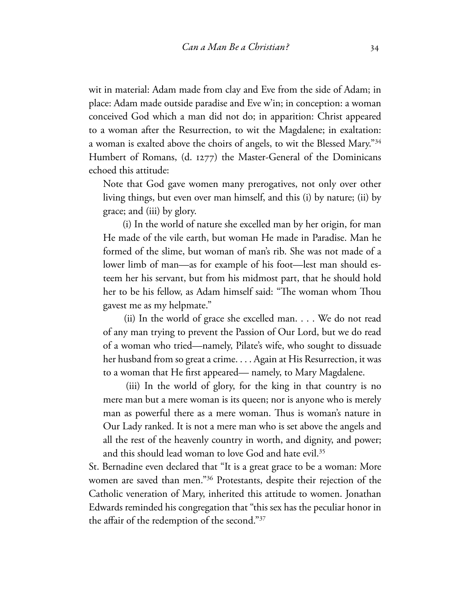wit in material: Adam made from clay and Eve from the side of Adam; in place: Adam made outside paradise and Eve w'in; in conception: a woman conceived God which a man did not do; in apparition: Christ appeared to a woman after the Resurrection, to wit the Magdalene; in exaltation: a woman is exalted above the choirs of angels, to wit the Blessed Mary."34 Humbert of Romans, (d. 1277) the Master-General of the Dominicans echoed this attitude:

 Note that God gave women many prerogatives, not only over other living things, but even over man himself, and this (i) by nature; (ii) by grace; and (iii) by glory.

 (i) In the world of nature she excelled man by her origin, for man He made of the vile earth, but woman He made in Paradise. Man he formed of the slime, but woman of man's rib. She was not made of a lower limb of man—as for example of his foot—lest man should esteem her his servant, but from his midmost part, that he should hold her to be his fellow, as Adam himself said: "The woman whom Thou gavest me as my helpmate."

 (ii) In the world of grace she excelled man. . . . We do not read of any man trying to prevent the Passion of Our Lord, but we do read of a woman who tried—namely, Pilate's wife, who sought to dissuade her husband from so great a crime. . . . Again at His Resurrection, it was to a woman that He first appeared— namely, to Mary Magdalene.

 (iii) In the world of glory, for the king in that country is no mere man but a mere woman is its queen; nor is anyone who is merely man as powerful there as a mere woman. Thus is woman's nature in Our Lady ranked. It is not a mere man who is set above the angels and all the rest of the heavenly country in worth, and dignity, and power; and this should lead woman to love God and hate evil.<sup>35</sup>

St. Bernadine even declared that "It is a great grace to be a woman: More women are saved than men."36 Protestants, despite their rejection of the Catholic veneration of Mary, inherited this attitude to women. Jonathan Edwards reminded his congregation that "this sex has the peculiar honor in the affair of the redemption of the second."37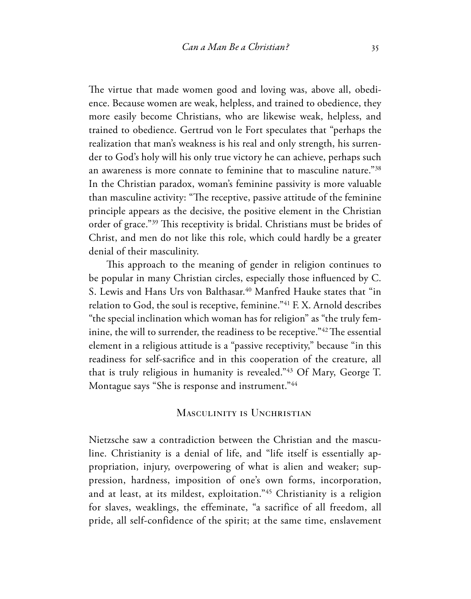The virtue that made women good and loving was, above all, obedience. Because women are weak, helpless, and trained to obedience, they more easily become Christians, who are likewise weak, helpless, and trained to obedience. Gertrud von le Fort speculates that "perhaps the realization that man's weakness is his real and only strength, his surrender to God's holy will his only true victory he can achieve, perhaps such an awareness is more connate to feminine that to masculine nature."38 In the Christian paradox, woman's feminine passivity is more valuable than masculine activity: "The receptive, passive attitude of the feminine principle appears as the decisive, the positive element in the Christian order of grace."39 This receptivity is bridal. Christians must be brides of Christ, and men do not like this role, which could hardly be a greater denial of their masculinity.

This approach to the meaning of gender in religion continues to be popular in many Christian circles, especially those influenced by C. S. Lewis and Hans Urs von Balthasar.<sup>40</sup> Manfred Hauke states that "in relation to God, the soul is receptive, feminine."41 F. X. Arnold describes "the special inclination which woman has for religion" as "the truly feminine, the will to surrender, the readiness to be receptive."42 The essential element in a religious attitude is a "passive receptivity," because "in this readiness for self-sacrifice and in this cooperation of the creature, all that is truly religious in humanity is revealed."43 Of Mary, George T. Montague says "She is response and instrument."44

### MASCULINITY IS UNCHRISTIAN

Nietzsche saw a contradiction between the Christian and the masculine. Christianity is a denial of life, and "life itself is essentially appropriation, injury, overpowering of what is alien and weaker; suppression, hardness, imposition of one's own forms, incorporation, and at least, at its mildest, exploitation."45 Christianity is a religion for slaves, weaklings, the effeminate, "a sacrifice of all freedom, all pride, all self-confidence of the spirit; at the same time, enslavement